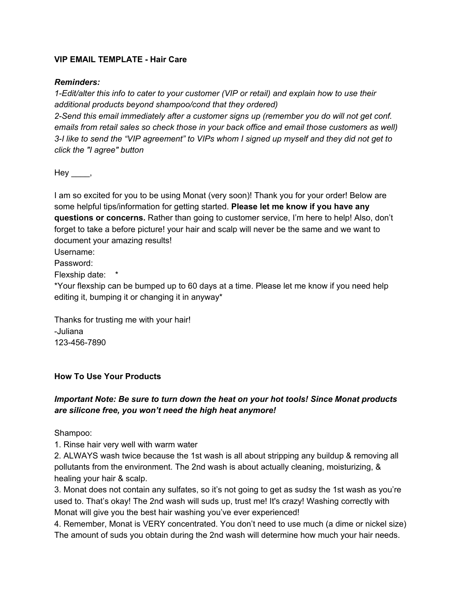### **VIP EMAIL TEMPLATE - Hair Care**

#### *Reminders:*

*1-Edit/alter this info to cater to your customer (VIP or retail) and explain how to use their additional products beyond shampoo/cond that they ordered)*

*2-Send this email immediately after a customer signs up (remember you do will not get conf. emails from retail sales so check those in your back office and email those customers as well)* 3-I like to send the "VIP agreement" to VIPs whom I signed up myself and they did not get to *click the "I agree" button*

 $Hey$ <sub>\_\_\_\_</sub>,

I am so excited for you to be using Monat (very soon)! Thank you for your order! Below are some helpful tips/information for getting started. **Please let me know if you have any questions or concerns.** Rather than going to customer service, I'm here to help! Also, don't forget to take a before picture! your hair and scalp will never be the same and we want to document your amazing results!

Username:

Password:

Flexship date: \*

\*Your flexship can be bumped up to 60 days at a time. Please let me know if you need help editing it, bumping it or changing it in anyway\*

Thanks for trusting me with your hair! -Juliana 123-456-7890

#### **How To Use Your Products**

# *Important Note: Be sure to turn down the heat on your hot tools! Since Monat products are silicone free, you won't need the high heat anymore!*

Shampoo:

1. Rinse hair very well with warm water

2. ALWAYS wash twice because the 1st wash is all about stripping any buildup & removing all pollutants from the environment. The 2nd wash is about actually cleaning, moisturizing, & healing your hair & scalp.

3. Monat does not contain any sulfates, so it's not going to get as sudsy the 1st wash as you're used to. That's okay! The 2nd wash will suds up, trust me! It's crazy! Washing correctly with Monat will give you the best hair washing you've ever experienced!

4. Remember, Monat is VERY concentrated. You don't need to use much (a dime or nickel size) The amount of suds you obtain during the 2nd wash will determine how much your hair needs.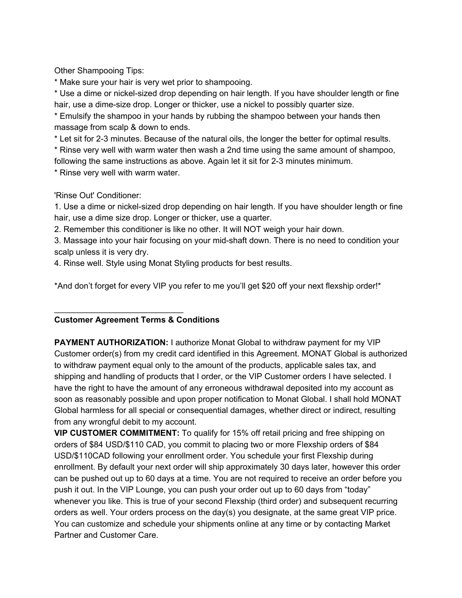Other Shampooing Tips:

\* Make sure your hair is very wet prior to shampooing.

\* Use a dime or nickel-sized drop depending on hair length. If you have shoulder length or fine hair, use a dime-size drop. Longer or thicker, use a nickel to possibly quarter size.

\* Emulsify the shampoo in your hands by rubbing the shampoo between your hands then massage from scalp & down to ends.

\* Let sit for 2-3 minutes. Because of the natural oils, the longer the better for optimal results.

\* Rinse very well with warm water then wash a 2nd time using the same amount of shampoo,

following the same instructions as above. Again let it sit for 2-3 minutes minimum.

\* Rinse very well with warm water.

'Rinse Out' Conditioner:

1. Use a dime or nickel-sized drop depending on hair length. If you have shoulder length or fine hair, use a dime size drop. Longer or thicker, use a quarter.

2. Remember this conditioner is like no other. It will NOT weigh your hair down.

3. Massage into your hair focusing on your mid-shaft down. There is no need to condition your scalp unless it is very dry.

4. Rinse well. Style using Monat Styling products for best results.

\*And don't forget for every VIP you refer to me you'll get \$20 off your next flexship order!\*

#### **Customer Agreement Terms & Conditions**

\_\_\_\_\_\_\_\_\_\_\_\_\_\_\_\_\_\_\_\_\_\_\_\_\_\_\_\_

**PAYMENT AUTHORIZATION:** I authorize Monat Global to withdraw payment for my VIP Customer order(s) from my credit card identified in this Agreement. MONAT Global is authorized to withdraw payment equal only to the amount of the products, applicable sales tax, and shipping and handling of products that I order, or the VIP Customer orders I have selected. I have the right to have the amount of any erroneous withdrawal deposited into my account as soon as reasonably possible and upon proper notification to Monat Global. I shall hold MONAT Global harmless for all special or consequential damages, whether direct or indirect, resulting from any wrongful debit to my account.

**VIP CUSTOMER COMMITMENT:** To qualify for 15% off retail pricing and free shipping on orders of \$84 USD/\$110 CAD, you commit to placing two or more Flexship orders of \$84 USD/\$110CAD following your enrollment order. You schedule your first Flexship during enrollment. By default your next order will ship approximately 30 days later, however this order can be pushed out up to 60 days at a time. You are not required to receive an order before you push it out. In the VIP Lounge, you can push your order out up to 60 days from "today" whenever you like. This is true of your second Flexship (third order) and subsequent recurring orders as well. Your orders process on the day(s) you designate, at the same great VIP price. You can customize and schedule your shipments online at any time or by contacting Market Partner and Customer Care.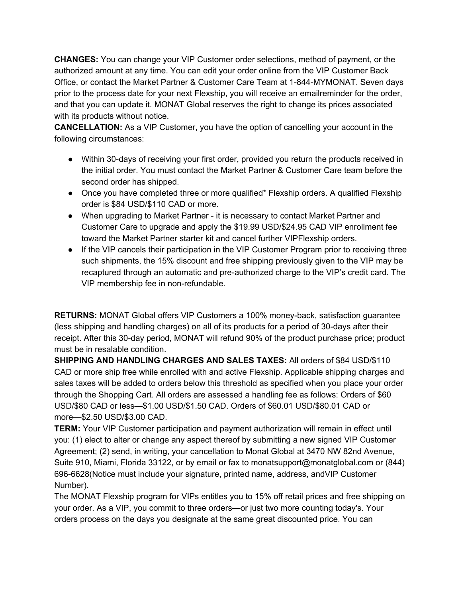**CHANGES:** You can change your VIP Customer order selections, method of payment, or the authorized amount at any time. You can edit your order online from the VIP Customer Back Office, or contact the Market Partner & Customer Care Team at 1-844-MYMONAT. Seven days prior to the process date for your next Flexship, you will receive an emailreminder for the order, and that you can update it. MONAT Global reserves the right to change its prices associated with its products without notice.

**CANCELLATION:** As a VIP Customer, you have the option of cancelling your account in the following circumstances:

- Within 30-days of receiving your first order, provided you return the products received in the initial order. You must contact the Market Partner & Customer Care team before the second order has shipped.
- Once you have completed three or more qualified\* Flexship orders. A qualified Flexship order is \$84 USD/\$110 CAD or more.
- When upgrading to Market Partner it is necessary to contact Market Partner and Customer Care to upgrade and apply the \$19.99 USD/\$24.95 CAD VIP enrollment fee toward the Market Partner starter kit and cancel further VIPFlexship orders.
- If the VIP cancels their participation in the VIP Customer Program prior to receiving three such shipments, the 15% discount and free shipping previously given to the VIP may be recaptured through an automatic and pre-authorized charge to the VIP's credit card. The VIP membership fee in non-refundable.

**RETURNS:** MONAT Global offers VIP Customers a 100% money-back, satisfaction guarantee (less shipping and handling charges) on all of its products for a period of 30-days after their receipt. After this 30-day period, MONAT will refund 90% of the product purchase price; product must be in resalable condition.

**SHIPPING AND HANDLING CHARGES AND SALES TAXES:** All orders of \$84 USD/\$110 CAD or more ship free while enrolled with and active Flexship. Applicable shipping charges and sales taxes will be added to orders below this threshold as specified when you place your order through the Shopping Cart. All orders are assessed a handling fee as follows: Orders of \$60 USD/\$80 CAD or less—\$1.00 USD/\$1.50 CAD. Orders of \$60.01 USD/\$80.01 CAD or more—\$2.50 USD/\$3.00 CAD.

**TERM:** Your VIP Customer participation and payment authorization will remain in effect until you: (1) elect to alter or change any aspect thereof by submitting a new signed VIP Customer Agreement; (2) send, in writing, your cancellation to Monat Global at 3470 NW 82nd Avenue, Suite 910, Miami, Florida 33122, or by email or fax to monatsupport@monatglobal.com or (844) 696-6628(Notice must include your signature, printed name, address, andVIP Customer Number).

The MONAT Flexship program for VIPs entitles you to 15% off retail prices and free shipping on your order. As a VIP, you commit to three orders—or just two more counting today's. Your orders process on the days you designate at the same great discounted price. You can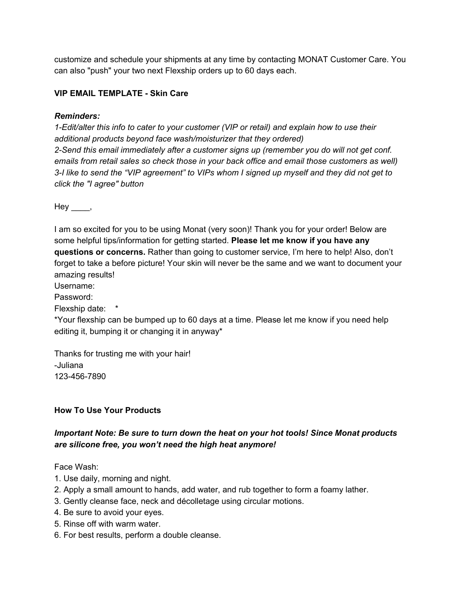customize and schedule your shipments at any time by contacting MONAT Customer Care. You can also "push" your two next Flexship orders up to 60 days each.

## **VIP EMAIL TEMPLATE - Skin Care**

### *Reminders:*

*1-Edit/alter this info to cater to your customer (VIP or retail) and explain how to use their additional products beyond face wash/moisturizer that they ordered) 2-Send this email immediately after a customer signs up (remember you do will not get conf. emails from retail sales so check those in your back office and email those customers as well)* 3-I like to send the "VIP agreement" to VIPs whom I signed up myself and they did not get to *click the "I agree" button*

 $Hey$ <sub>\_\_\_\_</sub>,

I am so excited for you to be using Monat (very soon)! Thank you for your order! Below are some helpful tips/information for getting started. **Please let me know if you have any questions or concerns.** Rather than going to customer service, I'm here to help! Also, don't forget to take a before picture! Your skin will never be the same and we want to document your amazing results!

Username:

Password:

Flexship date: \*

\*Your flexship can be bumped up to 60 days at a time. Please let me know if you need help editing it, bumping it or changing it in anyway\*

Thanks for trusting me with your hair! -Juliana 123-456-7890

# **How To Use Your Products**

# *Important Note: Be sure to turn down the heat on your hot tools! Since Monat products are silicone free, you won't need the high heat anymore!*

Face Wash:

- 1. Use daily, morning and night.
- 2. Apply a small amount to hands, add water, and rub together to form a foamy lather.
- 3. Gently cleanse face, neck and décolletage using circular motions.
- 4. Be sure to avoid your eyes.
- 5. Rinse off with warm water.
- 6. For best results, perform a double cleanse.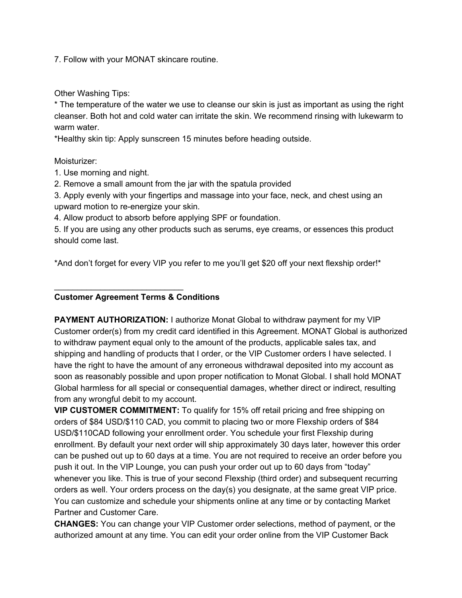7. Follow with your MONAT skincare routine.

Other Washing Tips:

\* The temperature of the water we use to cleanse our skin is just as important as using the right cleanser. Both hot and cold water can irritate the skin. We recommend rinsing with lukewarm to warm water.

\*Healthy skin tip: Apply sunscreen 15 minutes before heading outside.

### Moisturizer:

- 1. Use morning and night.
- 2. Remove a small amount from the jar with the spatula provided

3. Apply evenly with your fingertips and massage into your face, neck, and chest using an upward motion to re-energize your skin.

4. Allow product to absorb before applying SPF or foundation.

5. If you are using any other products such as serums, eye creams, or essences this product should come last.

\*And don't forget for every VIP you refer to me you'll get \$20 off your next flexship order!\*

## **Customer Agreement Terms & Conditions**

\_\_\_\_\_\_\_\_\_\_\_\_\_\_\_\_\_\_\_\_\_\_\_\_\_\_\_\_

**PAYMENT AUTHORIZATION:** I authorize Monat Global to withdraw payment for my VIP Customer order(s) from my credit card identified in this Agreement. MONAT Global is authorized to withdraw payment equal only to the amount of the products, applicable sales tax, and shipping and handling of products that I order, or the VIP Customer orders I have selected. I have the right to have the amount of any erroneous withdrawal deposited into my account as soon as reasonably possible and upon proper notification to Monat Global. I shall hold MONAT Global harmless for all special or consequential damages, whether direct or indirect, resulting from any wrongful debit to my account.

**VIP CUSTOMER COMMITMENT:** To qualify for 15% off retail pricing and free shipping on orders of \$84 USD/\$110 CAD, you commit to placing two or more Flexship orders of \$84 USD/\$110CAD following your enrollment order. You schedule your first Flexship during enrollment. By default your next order will ship approximately 30 days later, however this order can be pushed out up to 60 days at a time. You are not required to receive an order before you push it out. In the VIP Lounge, you can push your order out up to 60 days from "today" whenever you like. This is true of your second Flexship (third order) and subsequent recurring orders as well. Your orders process on the day(s) you designate, at the same great VIP price. You can customize and schedule your shipments online at any time or by contacting Market Partner and Customer Care.

**CHANGES:** You can change your VIP Customer order selections, method of payment, or the authorized amount at any time. You can edit your order online from the VIP Customer Back